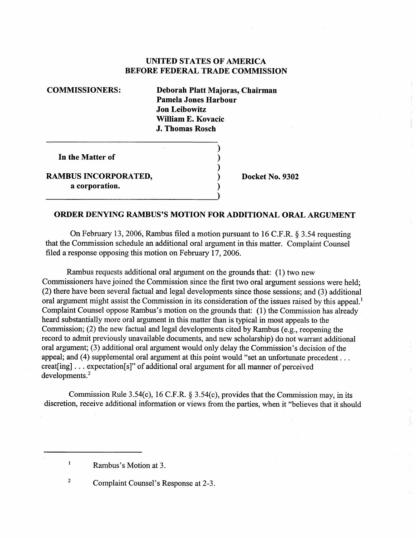## UNITED STATES OF AMERICA BEFORE FEDERAL TRADE COMMISSION

COMMISSIONERS: Deborah Platt Majoras, Chairman Pamela Jones Harbour Jon Leibowitz Wiliam E. Kovacic J. Thomas Rosch

In the Matter of

RAMBUS INCORPORATED,  $D = D$  Docket No. 9302 a corporation.

## ORDER DENYING RAMBUS'S MOTION FOR ADDITIONAL ORAL ARGUMENT

On February 13, 2006, Rambus filed a motion pursuant to 16 C.F.R.  $\S 3.54$  requesting that the Commission schedule an additional oral argument in this matter. Complaint Counsel filed a response opposing this motion on February 17, 2006.

Rarbus requests additional oral argument on the grounds that: (1) two new Commissioners have joined the Commission since the first two oral argument sessions were held; (2) there have been several factual and legal developments since those sessions; and (3) additional oral argument might assist the Commission in its consideration of the issues raised by this appeal.<sup>1</sup> Complaint Counsel oppose Rambus's motion on the grounds that: (1) the Commission has already heard substantially more oral argument in this matter than is typical in most appeals to the Commission; (2) the new factual and legal developments cited by Rambus (e.g., reopening the record to admit previously unavailable documents, and new scholarship) do not warrant additional oral argument;  $(3)$  additional oral argument would only delay the Commission's decision of the appeal; and (4) supplemental oral argument at this point would "set an unfortunate precedent... creat[ing]  $\ldots$  expectation[s]" of additional oral argument for all manner of perceived developments.

Commission Rule 3.54(c), 16 C.F.R.  $\S$  3.54(c), provides that the Commission may, in its discretion, receive additional information or views from the parties, when it "believes that it should

Rambus's Motion at 3.

 $\mathbf{1}$ 

 $\overline{2}$ 

Complaint Counsel's Response at 2